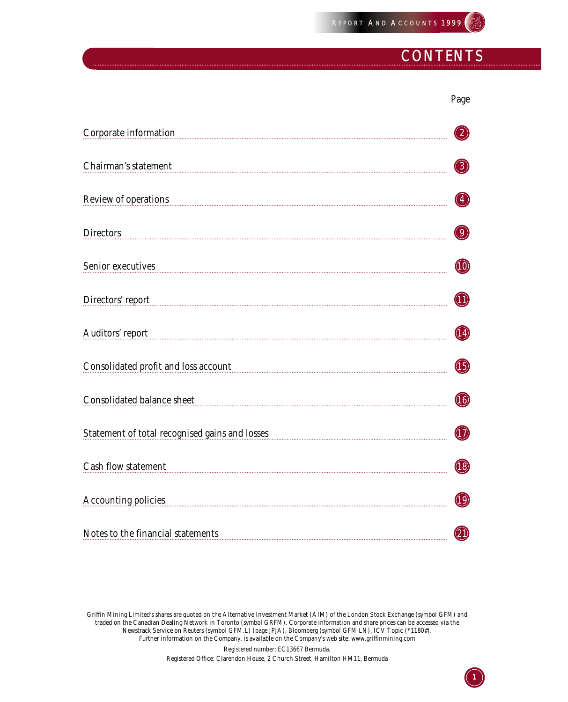### **CONTENTS**

**1**

|                                                | Page               |
|------------------------------------------------|--------------------|
| Corporate information                          | $\left( 2\right)$  |
| Chairman's statement                           | $\binom{3}{}$      |
| Review of operations                           | $\left( 4\right)$  |
| <b>Directors</b>                               | $\left( 9\right)$  |
| Senior executives                              | $\widehat{10}$     |
| Directors' report                              | $\left( 11\right)$ |
| Auditors' report                               | $\left( 4\right)$  |
| Consolidated profit and loss account           | $\left( 15\right)$ |
| <b>Consolidated balance sheet</b>              | $\left( 16\right)$ |
| Statement of total recognised gains and losses | $\ket{17}$         |
| Cash flow statement                            | $\Omega$           |
| <b>Accounting policies</b>                     | l9)                |
| Notes to the financial statements              |                    |

Griffin Mining Limited's shares are quoted on the Alternative Investment Market (AIM) of the London Stock Exchange (symbol GFM) and traded on the Canadian Dealing Network in Toronto (symbol GRFM). Corporate information and share prices can be accessed via the Newstrack Service on Reuters (symbol GFM.L) (page JPJA), Bloomberg (symbol GFM LN), ICV Topic (\*1180#). Further information on the Company, is available on the Company's web site: www.griffinmining.com Registered number: EC13667 Bermuda. Registered Office: Clarendon House, 2 Church Street, Hamilton HM11, Bermuda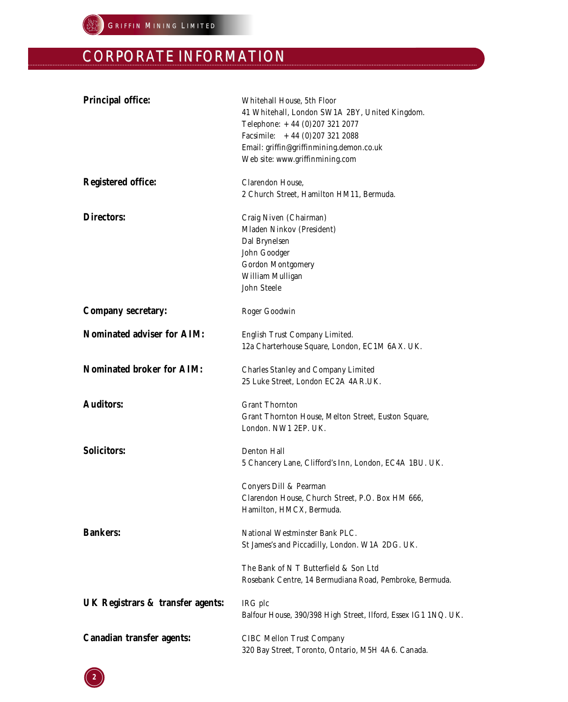**2**

# CORPORATE INFORMATION

| <b>Principal office:</b>          | Whitehall House, 5th Floor<br>41 Whitehall, London SW1A 2BY, United Kingdom.<br>Telephone: +44 (0)207 321 2077<br>Facsimile: $+44$ (0)207 321 2088<br>Email: griffin@griffinmining.demon.co.uk<br>Web site: www.griffinmining.com |
|-----------------------------------|-----------------------------------------------------------------------------------------------------------------------------------------------------------------------------------------------------------------------------------|
| <b>Registered office:</b>         | Clarendon House,<br>2 Church Street, Hamilton HM11, Bermuda.                                                                                                                                                                      |
| <b>Directors:</b>                 | Craig Niven (Chairman)<br>Mladen Ninkov (President)<br>Dal Brynelsen<br>John Goodger<br><b>Gordon Montgomery</b><br>William Mulligan<br><b>John Steele</b>                                                                        |
| <b>Company secretary:</b>         | Roger Goodwin                                                                                                                                                                                                                     |
| <b>Nominated adviser for AIM:</b> | English Trust Company Limited.<br>12a Charterhouse Square, London, EC1M 6AX. UK.                                                                                                                                                  |
| <b>Nominated broker for AIM:</b>  | <b>Charles Stanley and Company Limited</b><br>25 Luke Street, London EC2A 4AR.UK.                                                                                                                                                 |
| <b>Auditors:</b>                  | <b>Grant Thornton</b><br>Grant Thornton House, Melton Street, Euston Square,<br>London. NW1 2EP. UK.                                                                                                                              |
| <b>Solicitors:</b>                | <b>Denton Hall</b><br>5 Chancery Lane, Clifford's Inn, London, EC4A 1BU. UK.                                                                                                                                                      |
|                                   | Conyers Dill & Pearman<br>Clarendon House, Church Street, P.O. Box HM 666,<br>Hamilton, HMCX, Bermuda.                                                                                                                            |
| <b>Bankers:</b>                   | National Westminster Bank PLC.<br>St James's and Piccadilly, London. W1A 2DG. UK.                                                                                                                                                 |
|                                   | The Bank of N T Butterfield & Son Ltd<br>Rosebank Centre, 14 Bermudiana Road, Pembroke, Bermuda.                                                                                                                                  |
| UK Registrars & transfer agents:  | IRG plc<br>Balfour House, 390/398 High Street, Ilford, Essex IG1 1NQ. UK.                                                                                                                                                         |
| <b>Canadian transfer agents:</b>  | <b>CIBC Mellon Trust Company</b><br>320 Bay Street, Toronto, Ontario, M5H 4A6. Canada.                                                                                                                                            |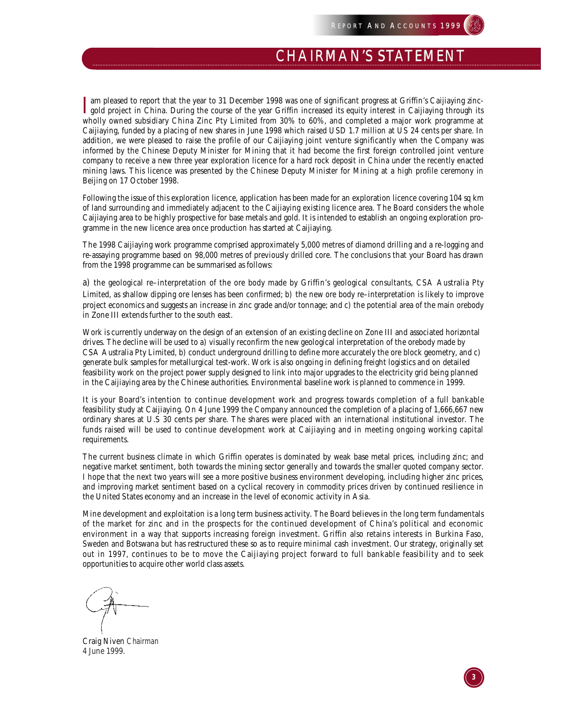**3**

I am pleased to report that the year to 31 December 1998 was one of significant progress at Griffin's Caijiaying zinc-<br>gold project in China. During the course of the year Griffin increased its equity interest in Caijiayin gold project in China. During the course of the year Griffin increased its equity interest in Caijiaying through its wholly owned subsidiary China Zinc Pty Limited from 30% to 60%, and completed a major work programme at Caijiaying, funded by a placing of new shares in June 1998 which raised USD 1.7 million at US 24 cents per share. In addition, we were pleased to raise the profile of our Caijiaying joint venture significantly when the Company was informed by the Chinese Deputy Minister for Mining that it had become the first foreign controlled joint venture company to receive a new three year exploration licence for a hard rock deposit in China under the recently enacted mining laws. This licence was presented by the Chinese Deputy Minister for Mining at a high profile ceremony in Beijing on 17 October 1998.

Following the issue of this exploration licence, application has been made for an exploration licence covering 104 sq km of land surrounding and immediately adjacent to the Caijiaying existing licence area. The Board considers the whole Caijiaying area to be highly prospective for base metals and gold. It is intended to establish an ongoing exploration programme in the new licence area once production has started at Caijiaying.

The 1998 Caijiaying work programme comprised approximately 5,000 metres of diamond drilling and a re-logging and re-assaying programme based on 98,000 metres of previously drilled core. The conclusions that your Board has drawn from the 1998 programme can be summarised as follows:

a) the geological re–interpretation of the ore body made by Griffin's geological consultants, CSA Australia Pty Limited, as shallow dipping ore lenses has been confirmed; b) the new ore body re–interpretation is likely to improve project economics and suggests an increase in zinc grade and/or tonnage; and c) the potential area of the main orebody in Zone III extends further to the south east.

Work is currently underway on the design of an extension of an existing decline on Zone III and associated horizontal drives. The decline will be used to a) visually reconfirm the new geological interpretation of the orebody made by CSA Australia Pty Limited, b) conduct underground drilling to define more accurately the ore block geometry, and c) generate bulk samples for metallurgical test-work. Work is also ongoing in defining freight logistics and on detailed feasibility work on the project power supply designed to link into major upgrades to the electricity grid being planned in the Caijiaying area by the Chinese authorities. Environmental baseline work is planned to commence in 1999.

It is your Board's intention to continue development work and progress towards completion of a full bankable feasibility study at Caijiaying. On 4 June 1999 the Company announced the completion of a placing of 1,666,667 new ordinary shares at U.S 30 cents per share. The shares were placed with an international institutional investor. The funds raised will be used to continue development work at Caijiaying and in meeting ongoing working capital requirements.

The current business climate in which Griffin operates is dominated by weak base metal prices, including zinc; and negative market sentiment, both towards the mining sector generally and towards the smaller quoted company sector. I hope that the next two years will see a more positive business environment developing, including higher zinc prices, and improving market sentiment based on a cyclical recovery in commodity prices driven by continued resilience in the United States economy and an increase in the level of economic activity in Asia.

Mine development and exploitation is a long term business activity. The Board believes in the long term fundamentals of the market for zinc and in the prospects for the continued development of China's political and economic environment in a way that supports increasing foreign investment. Griffin also retains interests in Burkina Faso, Sweden and Botswana but has restructured these so as to require minimal cash investment. Our strategy, originally set out in 1997, continues to be to move the Caijiaying project forward to full bankable feasibility and to seek opportunities to acquire other world class assets.

Craig Niven *Chairman* 4 June 1999.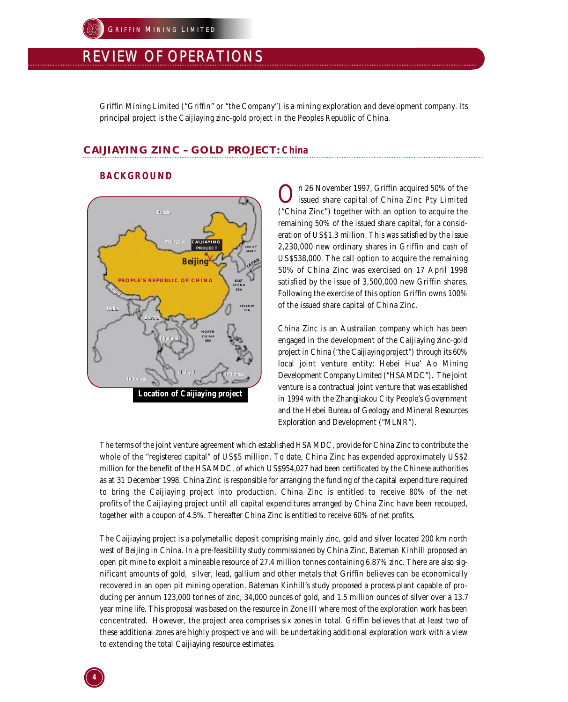Griffin Mining Limited ("Griffin" or "the Company") is a mining exploration and development company. Its principal project is the Caijiaying zinc-gold project in the Peoples Republic of China.

#### **CAIJIAYING ZINC – GOLD PROJECT: China**

#### *BACKGROUND*



On 26 November 1997, Griffin acquired 50% of the issued share capital of China Zinc Pty Limited ("China Zinc") together with an option to acquire the remaining 50% of the issued share capital, for a consideration of US\$1.3 million. This was satisfied by the issue 2,230,000 new ordinary shares in Griffin and cash of US\$538,000. The call option to acquire the remaining 50% of China Zinc was exercised on 17 April 1998 satisfied by the issue of 3,500,000 new Griffin shares. Following the exercise of this option Griffin owns 100% of the issued share capital of China Zinc.

China Zinc is an Australian company which has been engaged in the development of the Caijiaying zinc-gold project in China ("the Caijiaying project") through its 60% local joint venture entity: Hebei Hua' Ao Mining Development Company Limited ("HSAMDC"). The joint venture is a contractual joint venture that was established in 1994 with the Zhangjiakou City People's Government and the Hebei Bureau of Geology and Mineral Resources Exploration and Development ("MLNR").

The terms of the joint venture agreement which established HSAMDC, provide for China Zinc to contribute the whole of the "registered capital" of US\$5 million. To date, China Zinc has expended approximately US\$2 million for the benefit of the HSAMDC, of which US\$954,027 had been certificated by the Chinese authorities as at 31 December 1998. China Zinc is responsible for arranging the funding of the capital expenditure required to bring the Caijiaying project into production. China Zinc is entitled to receive 80% of the net profits of the Caijiaying project until all capital expenditures arranged by China Zinc have been recouped, together with a coupon of 4.5%. Thereafter China Zinc is entitled to receive 60% of net profits.

The Caijiaying project is a polymetallic deposit comprising mainly zinc, gold and silver located 200 km north west of Beijing in China. In a pre-feasibility study commissioned by China Zinc, Bateman Kinhill proposed an open pit mine to exploit a mineable resource of 27.4 million tonnes containing 6.87% zinc. There are also significant amounts of gold, silver, lead, gallium and other metals that Griffin believes can be economically recovered in an open pit mining operation. Bateman Kinhill's study proposed a process plant capable of producing per annum 123,000 tonnes of zinc, 34,000 ounces of gold, and 1.5 million ounces of silver over a 13.7 year mine life. This proposal was based on the resource in Zone III where most of the exploration work has been concentrated. However, the project area comprises six zones in total. Griffin believes that at least two of these additional zones are highly prospective and will be undertaking additional exploration work with a view to extending the total Caijiaying resource estimates.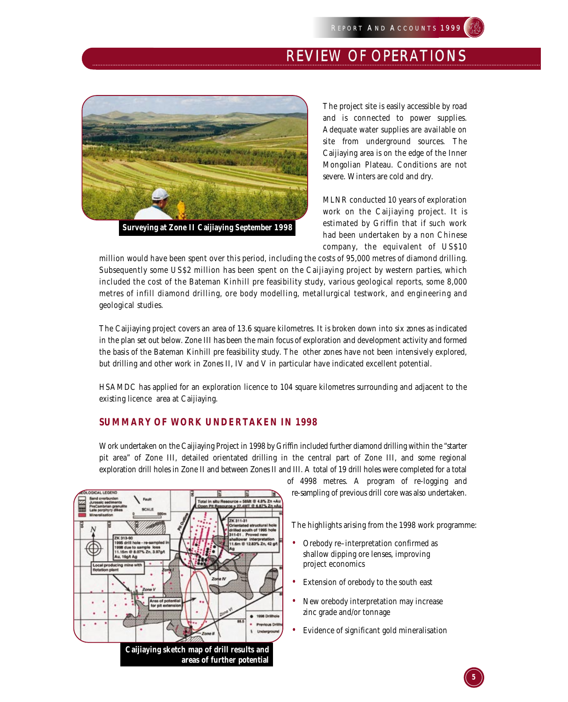

**Surveying at Zone II Caijiaying September 1998**

The project site is easily accessible by road and is connected to power supplies. Adequate water supplies are available on site from underground sources. The Caijiaying area is on the edge of the Inner Mongolian Plateau. Conditions are not severe. Winters are cold and dry.

MLNR conducted 10 years of exploration work on the Caijiaying project. It is estimated by Griffin that if such work had been undertaken by a non Chinese company, the equivalent of US\$10

million would have been spent over this period, including the costs of 95,000 metres of diamond drilling. Subsequently some US\$2 million has been spent on the Caijiaying project by western parties, which included the cost of the Bateman Kinhill pre feasibility study, various geological reports, some 8,000 metres of infill diamond drilling, ore body modelling, metallurgical testwork, and engineering and geological studies.

The Caijiaying project covers an area of 13.6 square kilometres. It is broken down into six zones as indicated in the plan set out below. Zone III has been the main focus of exploration and development activity and formed the basis of the Bateman Kinhill pre feasibility study. The other zones have not been intensively explored, but drilling and other work in Zones II, IV and V in particular have indicated excellent potential.

HSAMDC has applied for an exploration licence to 104 square kilometres surrounding and adjacent to the existing licence area at Caijiaying.

#### *SUMMARY OF WORK UNDERTAKEN IN 1998*

Work undertaken on the Caijiaying Project in 1998 by Griffin included further diamond drilling within the "starter pit area" of Zone III, detailed orientated drilling in the central part of Zone III, and some regional exploration drill holes in Zone II and between Zones II and III. A total of 19 drill holes were completed for a total



of 4998 metres. A program of re-logging and re-sampling of previous drill core was also undertaken.

The highlights arising from the 1998 work programme:

- Orebody re–interpretation confirmed as shallow dipping ore lenses, improving project economics
- Extension of orebody to the south east
- New orebody interpretation may increase zinc grade and/or tonnage
- Evidence of significant gold mineralisation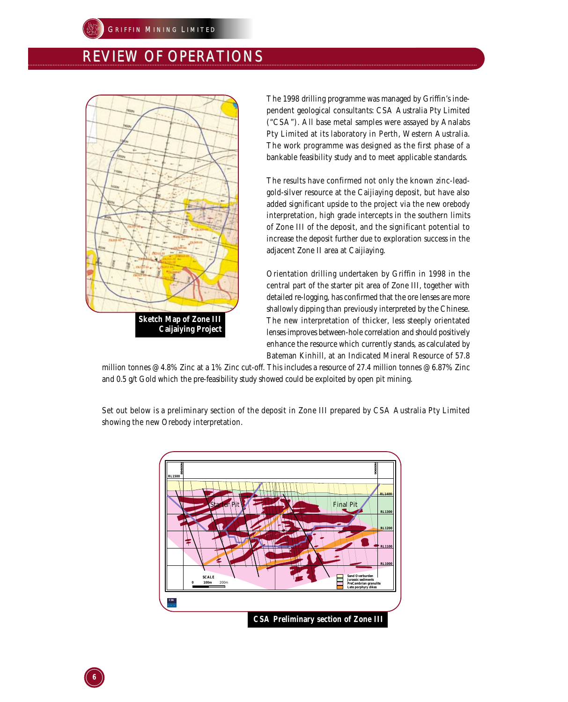

**6**

The 1998 drilling programme was managed by Griffin's independent geological consultants: CSA Australia Pty Limited ("CSA"). All base metal samples were assayed by Analabs Pty Limited at its laboratory in Perth, Western Australia. The work programme was designed as the first phase of a bankable feasibility study and to meet applicable standards.

The results have confirmed not only the known zinc-leadgold-silver resource at the Caijiaying deposit, but have also added significant upside to the project via the new orebody interpretation, high grade intercepts in the southern limits of Zone III of the deposit, and the significant potential to increase the deposit further due to exploration success in the adjacent Zone II area at Caijiaying.

Orientation drilling undertaken by Griffin in 1998 in the central part of the starter pit area of Zone III, together with detailed re-logging, has confirmed that the ore lenses are more shallowly dipping than previously interpreted by the Chinese. The new interpretation of thicker, less steeply orientated lenses improves between-hole correlation and should positively enhance the resource which currently stands, as calculated by Bateman Kinhill, at an Indicated Mineral Resource of 57.8

million tonnes @ 4.8% Zinc at a 1% Zinc cut-off. This includes a resource of 27.4 million tonnes @ 6.87% Zinc and 0.5 g/t Gold which the pre-feasibility study showed could be exploited by open pit mining.

Set out below is a preliminary section of the deposit in Zone III prepared by CSA Australia Pty Limited showing the new Orebody interpretation.

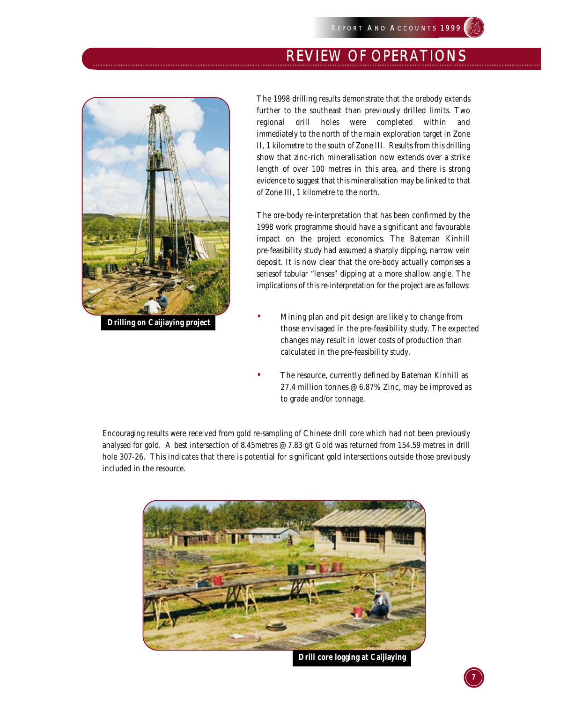

**Drilling on Caijiaying project**

The 1998 drilling results demonstrate that the orebody extends further to the southeast than previously drilled limits. Two regional drill holes were completed within and immediately to the north of the main exploration target in Zone II, 1 kilometre to the south of Zone III. Results from this drilling show that zinc-rich mineralisation now extends over a strike length of over 100 metres in this area, and there is strong evidence to suggest that this mineralisation may be linked to that of Zone III, 1 kilometre to the north.

The ore-body re-interpretation that has been confirmed by the 1998 work programme should have a significant and favourable impact on the project economics. The Bateman Kinhill pre-feasibility study had assumed a sharply dipping, narrow vein deposit. It is now clear that the ore-body actually comprises a seriesof tabular "lenses" dipping at a more shallow angle. The implications of this re-interpretation for the project are as follows:

- Mining plan and pit design are likely to change from those envisaged in the pre-feasibility study. The expected changes may result in lower costs of production than calculated in the pre-feasibility study.
- The resource, currently defined by Bateman Kinhill as 27.4 million tonnes @ 6.87% Zinc, may be improved as to grade and/or tonnage.

Encouraging results were received from gold re-sampling of Chinese drill core which had not been previously analysed for gold. A best intersection of 8.45metres @ 7.83 g/t Gold was returned from 154.59 metres in drill hole 307-26. This indicates that there is potential for significant gold intersections outside those previously included in the resource.



**Drill core logging at Caijiaying**

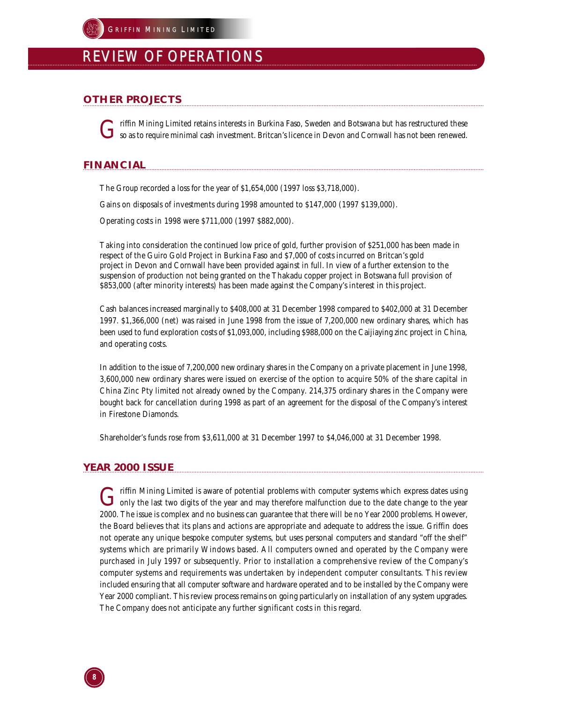#### **OTHER PROJECTS**

Guriffin Mining Limited retains interests in Burkina Faso, Sweden and Botswana but has restructured these<br>So as to require minimal cash investment. Britcan's licence in Devon and Cornwall has not been renewed.

### **FINANCIAL**

The Group recorded a loss for the year of \$1,654,000 (1997 loss \$3,718,000).

Gains on disposals of investments during 1998 amounted to \$147,000 (1997 \$139,000).

Operating costs in 1998 were \$711,000 (1997 \$882,000).

Taking into consideration the continued low price of gold, further provision of \$251,000 has been made in respect of the Guiro Gold Project in Burkina Faso and \$7,000 of costs incurred on Britcan's gold project in Devon and Cornwall have been provided against in full. In view of a further extension to the suspension of production not being granted on the Thakadu copper project in Botswana full provision of \$853,000 (after minority interests) has been made against the Company's interest in this project.

Cash balances increased marginally to \$408,000 at 31 December 1998 compared to \$402,000 at 31 December 1997. \$1,366,000 (net) was raised in June 1998 from the issue of 7,200,000 new ordinary shares, which has been used to fund exploration costs of \$1,093,000, including \$988,000 on the Caijiaying zinc project in China, and operating costs.

In addition to the issue of 7,200,000 new ordinary shares in the Company on a private placement in June 1998, 3,600,000 new ordinary shares were issued on exercise of the option to acquire 50% of the share capital in China Zinc Pty limited not already owned by the Company. 214,375 ordinary shares in the Company were bought back for cancellation during 1998 as part of an agreement for the disposal of the Company's interest in Firestone Diamonds.

Shareholder's funds rose from \$3,611,000 at 31 December 1997 to \$4,046,000 at 31 December 1998.

#### **YEAR 2000 ISSUE**

Gulfin Mining Limited is aware of potential problems with computer systems which express dates using<br>
Gulfin Only the last two digits of the year and may therefore malfunction due to the date change to the year 2000. The issue is complex and no business can guarantee that there will be no Year 2000 problems. However, the Board believes that its plans and actions are appropriate and adequate to address the issue. Griffin does not operate any unique bespoke computer systems, but uses personal computers and standard "off the shelf" systems which are primarily Windows based. All computers owned and operated by the Company were purchased in July 1997 or subsequently. Prior to installation a comprehensive review of the Company's computer systems and requirements was undertaken by independent computer consultants. This review included ensuring that all computer software and hardware operated and to be installed by the Company were Year 2000 compliant. This review process remains on going particularly on installation of any system upgrades. The Company does not anticipate any further significant costs in this regard.

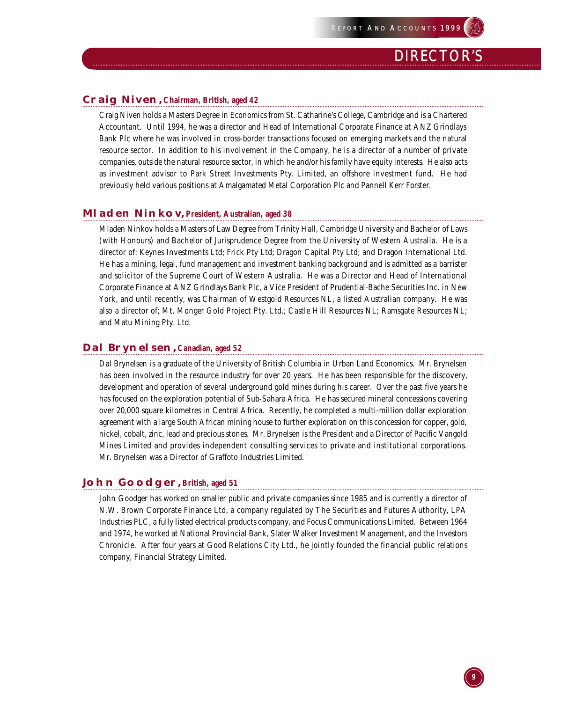### DIRECTOR'S

#### **Craig Niven, Chairman, British, aged 42**

Craig Niven holds a Masters Degree in Economics from St. Catharine's College, Cambridge and is a Chartered Accountant. Until 1994, he was a director and Head of International Corporate Finance at ANZ Grindlays Bank Plc where he was involved in cross-border transactions focused on emerging markets and the natural resource sector. In addition to his involvement in the Company, he is a director of a number of private companies, outside the natural resource sector, in which he and/or his family have equity interests. He also acts as investment advisor to Park Street Investments Pty. Limited, an offshore investment fund. He had previously held various positions at Amalgamated Metal Corporation Plc and Pannell Kerr Forster.

#### **MLADEN NINKOV, President, Australian, aged 38**

Mladen Ninkov holds a Masters of Law Degree from Trinity Hall, Cambridge University and Bachelor of Laws (with Honours) and Bachelor of Jurisprudence Degree from the University of Western Australia. He is a director of: Keynes Investments Ltd; Frick Pty Ltd; Dragon Capital Pty Ltd; and Dragon International Ltd. He has a mining, legal, fund management and investment banking background and is admitted as a barrister and solicitor of the Supreme Court of Western Australia. He was a Director and Head of International Corporate Finance at ANZ Grindlays Bank Plc, a Vice President of Prudential-Bache Securities Inc. in New York, and until recently, was Chairman of Westgold Resources NL, a listed Australian company. He was also a director of; Mt. Monger Gold Project Pty. Ltd.; Castle Hill Resources NL; Ramsgate Resources NL; and Matu Mining Pty. Ltd.

#### **Dal Brynelsen, Canadian, aged 52**

Dal Brynelsen is a graduate of the University of British Columbia in Urban Land Economics. Mr. Brynelsen has been involved in the resource industry for over 20 years. He has been responsible for the discovery, development and operation of several underground gold mines during his career. Over the past five years he has focused on the exploration potential of Sub-Sahara Africa. He has secured mineral concessions covering over 20,000 square kilometres in Central Africa. Recently, he completed a multi-million dollar exploration agreement with a large South African mining house to further exploration on this concession for copper, gold, nickel, cobalt, zinc, lead and precious stones. Mr. Brynelsen is the President and a Director of Pacific Vangold Mines Limited and provides independent consulting services to private and institutional corporations. Mr. Brynelsen was a Director of Graffoto Industries Limited.

#### **John Goodger, British, aged 51**

John Goodger has worked on smaller public and private companies since 1985 and is currently a director of N.W. Brown Corporate Finance Ltd, a company regulated by The Securities and Futures Authority, LPA Industries PLC, a fully listed electrical products company, and Focus Communications Limited. Between 1964 and 1974, he worked at National Provincial Bank, Slater Walker Investment Management, and the Investors Chronicle. After four years at Good Relations City Ltd., he jointly founded the financial public relations company, Financial Strategy Limited.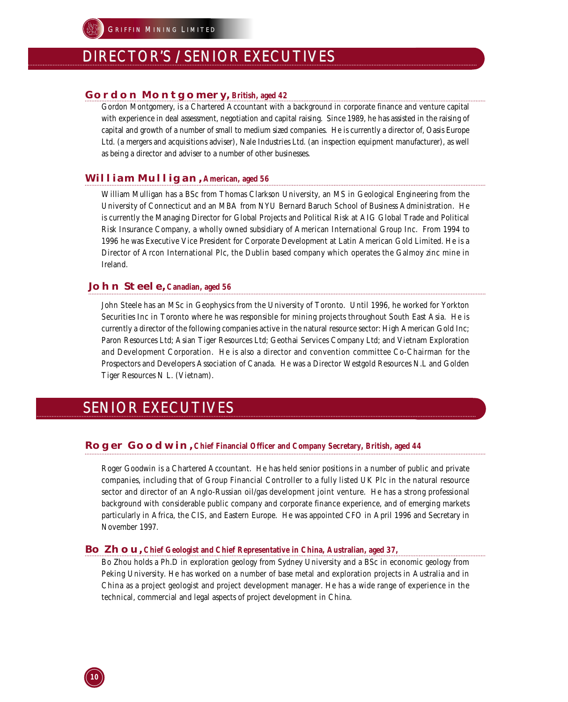### DIRECTOR'S / SENIOR EXECUTIVES

#### **GORDON MONTGOMERY, British, aged 42**

Gordon Montgomery, is a Chartered Accountant with a background in corporate finance and venture capital with experience in deal assessment, negotiation and capital raising. Since 1989, he has assisted in the raising of capital and growth of a number of small to medium sized companies. He is currently a director of, Oasis Europe Ltd. (a mergers and acquisitions adviser), Nale Industries Ltd. (an inspection equipment manufacturer), as well as being a director and adviser to a number of other businesses.

#### **William Mulligan, American, aged 56**

William Mulligan has a BSc from Thomas Clarkson University, an MS in Geological Engineering from the University of Connecticut and an MBA from NYU Bernard Baruch School of Business Administration. He is currently the Managing Director for Global Projects and Political Risk at AIG Global Trade and Political Risk Insurance Company, a wholly owned subsidiary of American International Group Inc. From 1994 to 1996 he was Executive Vice President for Corporate Development at Latin American Gold Limited. He is a Director of Arcon International Plc, the Dublin based company which operates the Galmoy zinc mine in Ireland.

#### **John Steele, Canadian, aged 56**

John Steele has an MSc in Geophysics from the University of Toronto. Until 1996, he worked for Yorkton Securities Inc in Toronto where he was responsible for mining projects throughout South East Asia. He is currently a director of the following companies active in the natural resource sector: High American Gold Inc; Paron Resources Ltd; Asian Tiger Resources Ltd; Geothai Services Company Ltd; and Vietnam Exploration and Development Corporation. He is also a director and convention committee Co-Chairman for the Prospectors and Developers Association of Canada. He was a Director Westgold Resources N.L and Golden Tiger Resources N L. (Vietnam).

### **SENIOR EXECUTIVES**

**10**

#### **ROGER GOODWIN, Chief Financial Officer and Company Secretary, British, aged 44**

Roger Goodwin is a Chartered Accountant. He has held senior positions in a number of public and private companies, including that of Group Financial Controller to a fully listed UK Plc in the natural resource sector and director of an Anglo-Russian oil/gas development joint venture. He has a strong professional background with considerable public company and corporate finance experience, and of emerging markets particularly in Africa, the CIS, and Eastern Europe. He was appointed CFO in April 1996 and Secretary in November 1997.

#### **Bo Zhou, Chief Geologist and Chief Representative in China, Australian, aged 37,**

Bo Zhou holds a Ph.D in exploration geology from Sydney University and a BSc in economic geology from Peking University. He has worked on a number of base metal and exploration projects in Australia and in China as a project geologist and project development manager. He has a wide range of experience in the technical, commercial and legal aspects of project development in China.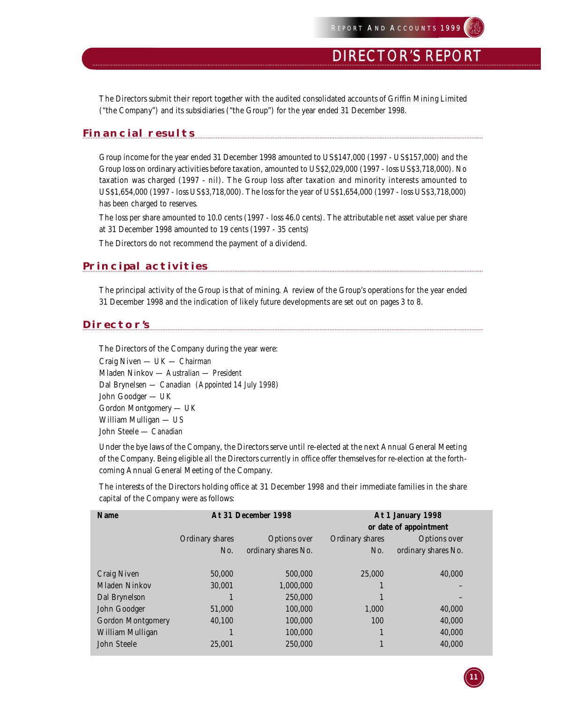### DIRECTOR'S REPORT

The Directors submit their report together with the audited consolidated accounts of Griffin Mining Limited ("the Company") and its subsidiaries ("the Group") for the year ended 31 December 1998.

#### **Financial results**

Group income for the year ended 31 December 1998 amounted to US\$147,000 (1997 - US\$157,000) and the Group loss on ordinary activities before taxation, amounted to US\$2,029,000 (1997 - loss US\$3,718,000). No taxation was charged (1997 - nil). The Group loss after taxation and minority interests amounted to US\$1,654,000 (1997 - loss US\$3,718,000). The loss for the year of US\$1,654,000 (1997 - loss US\$3,718,000) has been charged to reserves.

The loss per share amounted to 10.0 cents (1997 - loss 46.0 cents). The attributable net asset value per share at 31 December 1998 amounted to 19 cents (1997 - 35 cents)

The Directors do not recommend the payment of a dividend.

#### **Principal activities**

The principal activity of the Group is that of mining. A review of the Group's operations for the year ended 31 December 1998 and the indication of likely future developments are set out on pages 3 to 8.

#### **Director's**

The Directors of the Company during the year were:

Craig Niven — *UK — Chairman* Mladen Ninkov — *Australian — President*  Dal Brynelsen *— Canadian (Appointed 14 July 1998)*  John Goodger — *UK*  Gordon Montgomery — *UK*  William Mulligan — *US* John Steele — *Canadian*

Under the bye laws of the Company, the Directors serve until re-elected at the next Annual General Meeting of the Company. Being eligible all the Directors currently in office offer themselves for re-election at the forthcoming Annual General Meeting of the Company.

The interests of the Directors holding office at 31 December 1998 and their immediate families in the share capital of the Company were as follows:

| <b>Name</b>              |                 | At 31 December 1998 |                 | At 1 January 1998<br>or date of appointment |
|--------------------------|-----------------|---------------------|-----------------|---------------------------------------------|
|                          | Ordinary shares | <b>Options</b> over | Ordinary shares | <b>Options</b> over                         |
|                          | No.             | ordinary shares No. | No.             | ordinary shares No.                         |
| <b>Craig Niven</b>       | 50,000          | 500.000             | 25,000          | 40.000                                      |
| <b>Mladen Ninkov</b>     | 30,001          | 1,000,000           |                 |                                             |
| Dal Brynelson            |                 | 250,000             |                 |                                             |
| John Goodger             | 51.000          | 100,000             | 1,000           | 40,000                                      |
| <b>Gordon Montgomery</b> | 40,100          | 100,000             | 100             | 40,000                                      |
| William Mulligan         | 1               | 100,000             |                 | 40.000                                      |
| John Steele              | 25,001          | 250,000             |                 | 40.000                                      |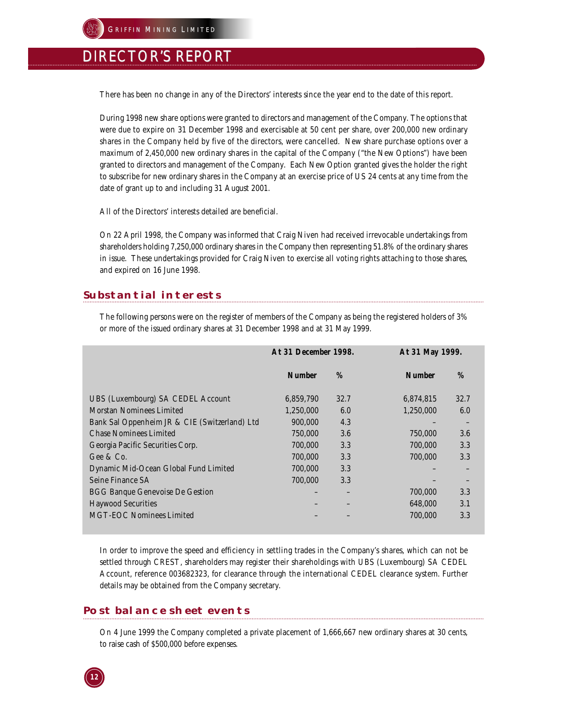### DIRECTOR'S REPORT

There has been no change in any of the Directors' interests since the year end to the date of this report.

During 1998 new share options were granted to directors and management of the Company. The options that were due to expire on 31 December 1998 and exercisable at 50 cent per share, over 200,000 new ordinary shares in the Company held by five of the directors, were cancelled. New share purchase options over a maximum of 2,450,000 new ordinary shares in the capital of the Company ("the New Options") have been granted to directors and management of the Company. Each New Option granted gives the holder the right to subscribe for new ordinary shares in the Company at an exercise price of US 24 cents at any time from the date of grant up to and including 31 August 2001.

All of the Directors' interests detailed are beneficial.

On 22 April 1998, the Company was informed that Craig Niven had received irrevocable undertakings from shareholders holding 7,250,000 ordinary shares in the Company then representing 51.8% of the ordinary shares in issue. These undertakings provided for Craig Niven to exercise all voting rights attaching to those shares, and expired on 16 June 1998.

#### **Substantial interests**

The following persons were on the register of members of the Company as being the registered holders of 3% or more of the issued ordinary shares at 31 December 1998 and at 31 May 1999.

|                                               | At 31 December 1998. |      | At 31 May 1999. |      |
|-----------------------------------------------|----------------------|------|-----------------|------|
|                                               | <b>Number</b>        | $\%$ | <b>Number</b>   | $\%$ |
| UBS (Luxembourg) SA CEDEL Account             | 6,859,790            | 32.7 | 6,874,815       | 32.7 |
| Morstan Nominees Limited                      | 1,250,000            | 6.0  | 1,250,000       | 6.0  |
| Bank Sal Oppenheim JR & CIE (Switzerland) Ltd | 900,000              | 4.3  |                 |      |
| <b>Chase Nominees Limited</b>                 | 750.000              | 3.6  | 750,000         | 3.6  |
| Georgia Pacific Securities Corp.              | 700,000              | 3.3  | 700,000         | 3.3  |
| Gee $& Co.$                                   | 700,000              | 3.3  | 700,000         | 3.3  |
| Dynamic Mid-Ocean Global Fund Limited         | 700,000              | 3.3  |                 |      |
| Seine Finance SA                              | 700,000              | 3.3  |                 |      |
| <b>BGG Banque Genevoise De Gestion</b>        |                      |      | 700,000         | 3.3  |
| <b>Haywood Securities</b>                     |                      |      | 648,000         | 3.1  |
| MGT-EOC Nominees Limited                      |                      |      | 700,000         | 3.3  |

In order to improve the speed and efficiency in settling trades in the Company's shares, which can not be settled through CREST, shareholders may register their shareholdings with UBS (Luxembourg) SA CEDEL Account, reference 003682323, for clearance through the international CEDEL clearance system. Further details may be obtained from the Company secretary.

#### **Post balance sheet events**

**12**

On 4 June 1999 the Company completed a private placement of 1,666,667 new ordinary shares at 30 cents, to raise cash of \$500,000 before expenses.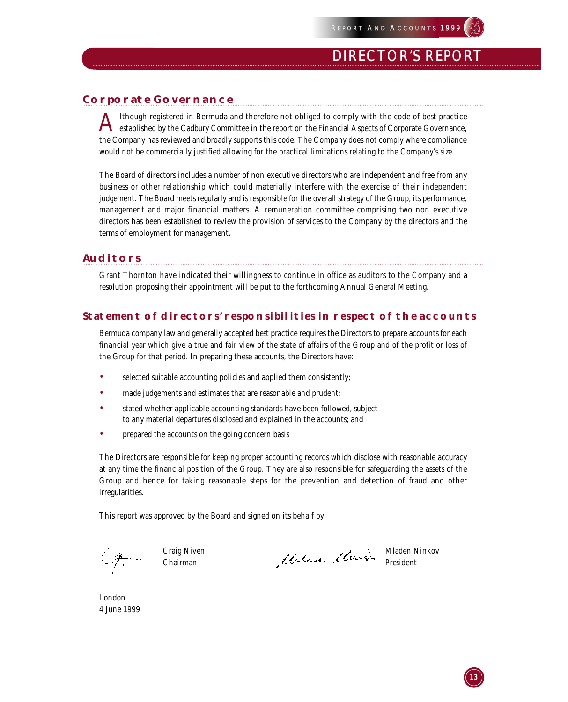### DIRECTOR'S REPORT

#### **Corporate Governance**

A lthough registered in Bermuda and therefore not obliged to comply with the code of best practice<br>eixed established by the Cadbury Committee in the report on the Financial Aspects of Corporate Governance, the Company has reviewed and broadly supports this code. The Company does not comply where compliance would not be commercially justified allowing for the practical limitations relating to the Company's size.

The Board of directors includes a number of non executive directors who are independent and free from any business or other relationship which could materially interfere with the exercise of their independent judgement. The Board meets regularly and is responsible for the overall strategy of the Group, its performance, management and major financial matters. A remuneration committee comprising two non executive directors has been established to review the provision of services to the Company by the directors and the terms of employment for management.

#### **AUDITORS**

Grant Thornton have indicated their willingness to continue in office as auditors to the Company and a resolution proposing their appointment will be put to the forthcoming Annual General Meeting.

#### **Statement of directors' responsibilities in respect of the accounts**

Bermuda company law and generally accepted best practice requires the Directors to prepare accounts for each financial year which give a true and fair view of the state of affairs of the Group and of the profit or loss of the Group for that period. In preparing these accounts, the Directors have:

- selected suitable accounting policies and applied them consistently;
- made judgements and estimates that are reasonable and prudent;
- stated whether applicable accounting standards have been followed, subject to any material departures disclosed and explained in the accounts; and
- prepared the accounts on the going concern basis

The Directors are responsible for keeping proper accounting records which disclose with reasonable accuracy at any time the financial position of the Group. They are also responsible for safeguarding the assets of the Group and hence for taking reasonable steps for the prevention and detection of fraud and other irregularities.

This report was approved by the Board and signed on its behalf by:



Craig Niven المسلس المستخدم المسلس المسلس المسلس المسلس المسلس المسلس المسلسان المسلسات المسلسات المستخدمات ال Chairman Chairman Chairman Chairman Chairman

London 4 June 1999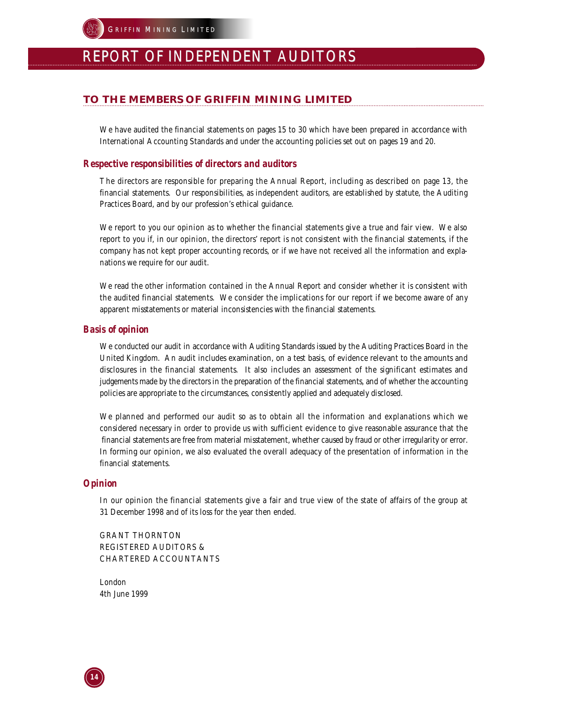### REPORT OF INDEPENDENT AUDITORS

#### **TO THE MEMBERS OF GRIFFIN MINING LIMITED**

We have audited the financial statements on pages 15 to 30 which have been prepared in accordance with International Accounting Standards and under the accounting policies set out on pages 19 and 20.

#### *Respective responsibilities of directors and auditors*

The directors are responsible for preparing the Annual Report, including as described on page 13, the financial statements. Our responsibilities, as independent auditors, are established by statute, the Auditing Practices Board, and by our profession's ethical guidance.

We report to you our opinion as to whether the financial statements give a true and fair view. We also report to you if, in our opinion, the directors' report is not consistent with the financial statements, if the company has not kept proper accounting records, or if we have not received all the information and explanations we require for our audit.

We read the other information contained in the Annual Report and consider whether it is consistent with the audited financial statements. We consider the implications for our report if we become aware of any apparent misstatements or material inconsistencies with the financial statements.

#### *Basis of opinion*

We conducted our audit in accordance with Auditing Standards issued by the Auditing Practices Board in the United Kingdom. An audit includes examination, on a test basis, of evidence relevant to the amounts and disclosures in the financial statements. It also includes an assessment of the significant estimates and judgements made by the directors in the preparation of the financial statements, and of whether the accounting policies are appropriate to the circumstances, consistently applied and adequately disclosed.

We planned and performed our audit so as to obtain all the information and explanations which we considered necessary in order to provide us with sufficient evidence to give reasonable assurance that the financial statements are free from material misstatement, whether caused by fraud or other irregularity or error. In forming our opinion, we also evaluated the overall adequacy of the presentation of information in the financial statements.

#### *Opinion*

In our opinion the financial statements give a fair and true view of the state of affairs of the group at 31 December 1998 and of its loss for the year then ended.

GRANT THORNTON REGISTERED AUDITORS & CHARTERED ACCOUNTANTS

London 4th June 1999

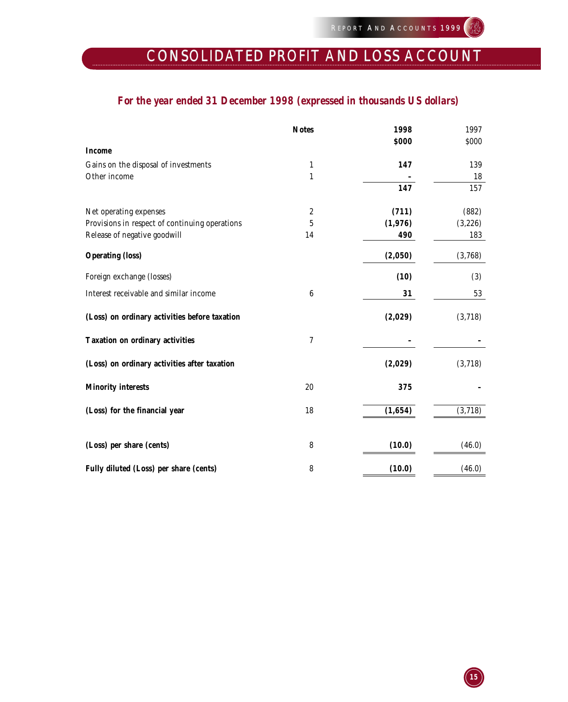# CONSOLIDATED PROFIT AND LOSS ACCOUNT

### *For the year ended 31 December 1998 (expressed in thousands US dollars)*

|                                                | <b>Notes</b>     | 1998    | 1997    |
|------------------------------------------------|------------------|---------|---------|
| <b>Income</b>                                  |                  | \$000   | \$000   |
| Gains on the disposal of investments           | $\mathbf{1}$     | 147     | 139     |
| Other income                                   | $\mathbf{1}$     |         | 18      |
|                                                |                  | 147     | 157     |
| Net operating expenses                         | $\sqrt{2}$       | (711)   | (882)   |
| Provisions in respect of continuing operations | $\overline{5}$   | (1,976) | (3,226) |
| Release of negative goodwill                   | 14               | 490     | 183     |
| <b>Operating (loss)</b>                        |                  | (2,050) | (3,768) |
| Foreign exchange (losses)                      |                  | (10)    | (3)     |
| Interest receivable and similar income         | $\boldsymbol{6}$ | 31      | 53      |
| (Loss) on ordinary activities before taxation  |                  | (2,029) | (3,718) |
| <b>Taxation on ordinary activities</b>         | $\overline{7}$   |         |         |
| (Loss) on ordinary activities after taxation   |                  | (2,029) | (3,718) |
| <b>Minority interests</b>                      | 20               | 375     |         |
| (Loss) for the financial year                  | 18               | (1,654) | (3,718) |
| (Loss) per share (cents)                       | 8                | (10.0)  | (46.0)  |
| Fully diluted (Loss) per share (cents)         | 8                | (10.0)  | (46.0)  |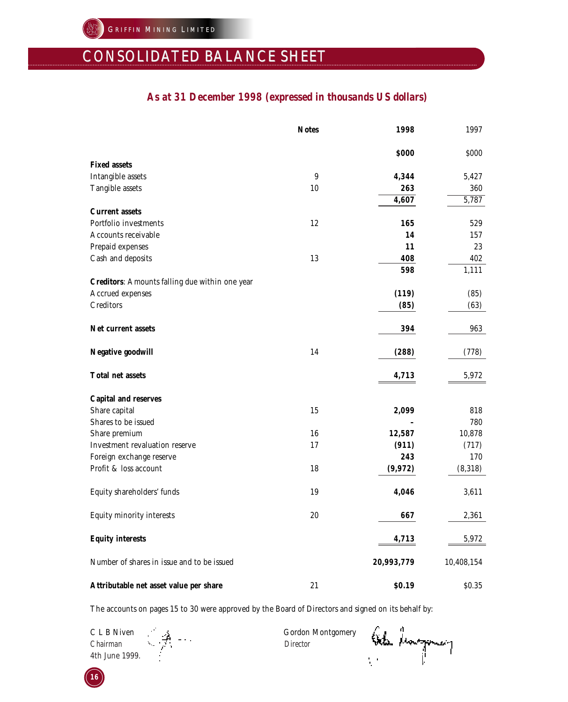# CONSOLIDATED BALANCE SHEET

### *As at 31 December 1998 (expressed in thousands US dollars)*

|                                                | <b>Notes</b>     | 1998       | 1997       |
|------------------------------------------------|------------------|------------|------------|
|                                                |                  | \$000      | \$000      |
| <b>Fixed assets</b>                            |                  |            |            |
| Intangible assets                              | $\boldsymbol{9}$ | 4,344      | 5,427      |
| Tangible assets                                | 10               | 263        | 360        |
|                                                |                  | 4,607      | 5,787      |
| <b>Current assets</b>                          |                  |            |            |
| Portfolio investments                          | 12               | 165        | 529        |
| Accounts receivable                            |                  | 14         | 157        |
| Prepaid expenses                               |                  | 11         | 23         |
| Cash and deposits                              | 13               | 408        | 402        |
|                                                |                  | 598        | 1,111      |
| Creditors: Amounts falling due within one year |                  |            |            |
| Accrued expenses                               |                  | (119)      | (85)       |
| Creditors                                      |                  | (85)       | (63)       |
|                                                |                  |            |            |
| Net current assets                             |                  | 394        | 963        |
| Negative goodwill                              | 14               | (288)      | (778)      |
| <b>Total net assets</b>                        |                  | 4,713      | 5,972      |
| <b>Capital and reserves</b>                    |                  |            |            |
| Share capital                                  | 15               | 2,099      | 818        |
| Shares to be issued                            |                  |            | 780        |
| Share premium                                  | 16               | 12,587     | 10,878     |
| Investment revaluation reserve                 | 17               | (911)      | (717)      |
| Foreign exchange reserve                       |                  | 243        | 170        |
| Profit & loss account                          | 18               | (9,972)    | (8,318)    |
|                                                |                  |            |            |
| Equity shareholders' funds                     | 19               | 4,046      | 3,611      |
| Equity minority interests                      | 20               | 667        | 2,361      |
| <b>Equity interests</b>                        |                  | 4,713      | 5,972      |
| Number of shares in issue and to be issued     |                  | 20,993,779 | 10,408,154 |
| Attributable net asset value per share         | 21               | \$0.19     | \$0.35     |

The accounts on pages 15 to 30 were approved by the Board of Directors and signed on its behalf by:

 $CL B Niven$ <br>
Chairman Director<br>  $Atb$  Imp. 1000 4th June 1999.

**16**

C L B Niven  $\lambda$ 

Oder howgoning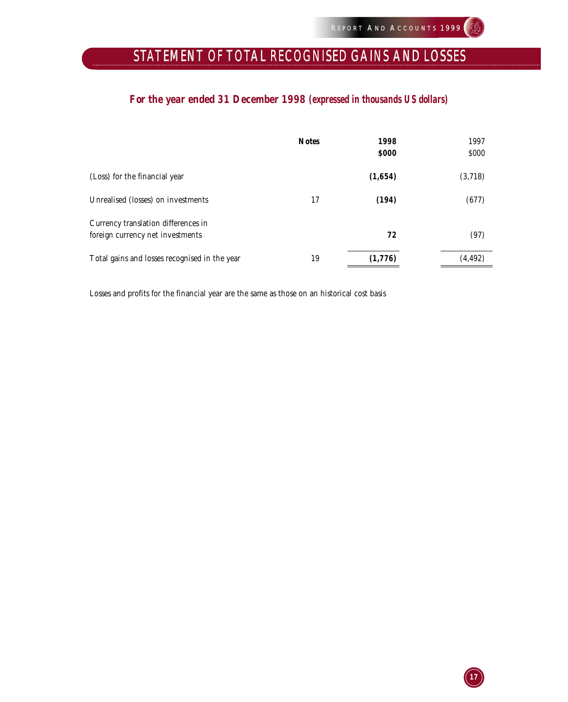# STATEMENT OF TOTAL RECOGNISED GAINS AND LOSSES

### *For the year ended 31 December 1998 (expressed in thousands US dollars)*

|                                                                         | <b>Notes</b> | 1998<br>\$000 | 1997<br>\$000 |
|-------------------------------------------------------------------------|--------------|---------------|---------------|
| (Loss) for the financial year                                           |              | (1,654)       | (3,718)       |
| Unrealised (losses) on investments                                      | 17           | (194)         | (677)         |
| Currency translation differences in<br>foreign currency net investments |              | 72            | (97)          |
| Total gains and losses recognised in the year                           | 19           | (1,776)       | (4, 492)      |

Losses and profits for the financial year are the same as those on an historical cost basis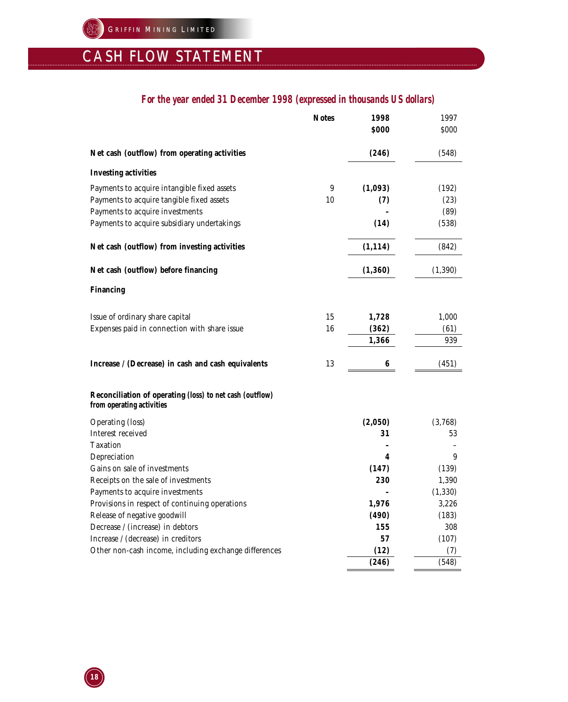# CASH FLOW STATEMENT

### *For the year ended 31 December 1998 (expressed in thousands US dollars)*

|                                                                                       | <b>Notes</b> | 1998<br>\$000 | 1997<br>\$000 |
|---------------------------------------------------------------------------------------|--------------|---------------|---------------|
| Net cash (outflow) from operating activities                                          |              | (246)         | (548)         |
| <b>Investing activities</b>                                                           |              |               |               |
| Payments to acquire intangible fixed assets                                           | 9            | (1,093)       | (192)         |
| Payments to acquire tangible fixed assets                                             | 10           | (7)           | (23)          |
| Payments to acquire investments                                                       |              |               | (89)          |
| Payments to acquire subsidiary undertakings                                           |              | (14)          | (538)         |
| Net cash (outflow) from investing activities                                          |              | (1, 114)      | (842)         |
| Net cash (outflow) before financing                                                   |              | (1, 360)      | (1, 390)      |
| <b>Financing</b>                                                                      |              |               |               |
| Issue of ordinary share capital                                                       | 15           | 1,728         | 1,000         |
| Expenses paid in connection with share issue                                          | 16           | (362)         | (61)          |
|                                                                                       |              | 1,366         | 939           |
| Increase / (Decrease) in cash and cash equivalents                                    | 13           | 6             | (451)         |
| Reconciliation of operating (loss) to net cash (outflow)<br>from operating activities |              |               |               |
| Operating (loss)                                                                      |              | (2,050)       | (3,768)       |
| Interest received                                                                     |              | 31            | 53            |
| <b>Taxation</b>                                                                       |              |               |               |
| Depreciation                                                                          |              | 4             | 9             |
| Gains on sale of investments                                                          |              | (147)         | (139)         |
| Receipts on the sale of investments                                                   |              | 230           | 1,390         |
| Payments to acquire investments                                                       |              |               | (1, 330)      |
| Provisions in respect of continuing operations                                        |              | 1,976         | 3,226         |
| Release of negative goodwill                                                          |              | (490)         | (183)         |
| Decrease / (increase) in debtors                                                      |              | 155           | 308           |
| Increase / (decrease) in creditors                                                    |              | 57            | (107)         |
| Other non-cash income, including exchange differences                                 |              | (12)          | (7)           |
|                                                                                       |              | (246)         | (548)         |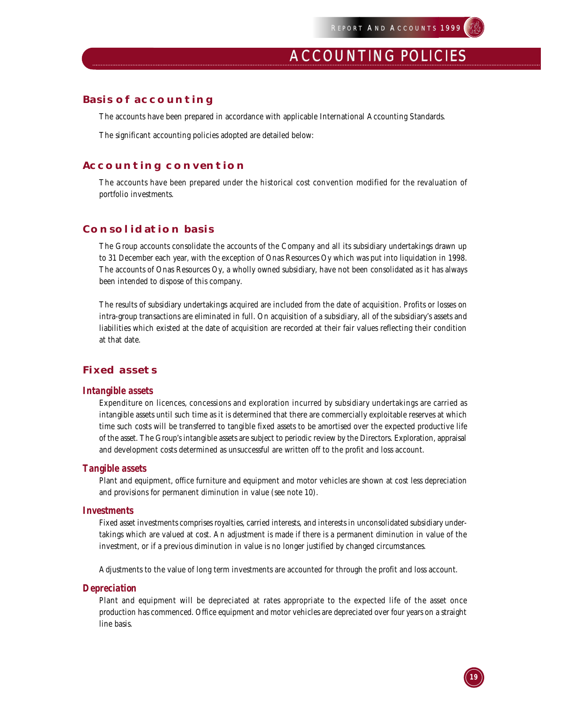## ACCOUNTING POLICIES

#### **Basis of accounting**

The accounts have been prepared in accordance with applicable International Accounting Standards.

The significant accounting policies adopted are detailed below:

#### **Accounting convention**

The accounts have been prepared under the historical cost convention modified for the revaluation of portfolio investments.

#### **Consolidation basis**

The Group accounts consolidate the accounts of the Company and all its subsidiary undertakings drawn up to 31 December each year, with the exception of Onas Resources Oy which was put into liquidation in 1998. The accounts of Onas Resources Oy, a wholly owned subsidiary, have not been consolidated as it has always been intended to dispose of this company.

The results of subsidiary undertakings acquired are included from the date of acquisition. Profits or losses on intra-group transactions are eliminated in full. On acquisition of a subsidiary, all of the subsidiary's assets and liabilities which existed at the date of acquisition are recorded at their fair values reflecting their condition at that date.

#### **Fixed assets**

#### *Intangible assets*

Expenditure on licences, concessions and exploration incurred by subsidiary undertakings are carried as intangible assets until such time as it is determined that there are commercially exploitable reserves at which time such costs will be transferred to tangible fixed assets to be amortised over the expected productive life of the asset. The Group's intangible assets are subject to periodic review by the Directors. Exploration, appraisal and development costs determined as unsuccessful are written off to the profit and loss account.

#### *Tangible assets*

Plant and equipment, office furniture and equipment and motor vehicles are shown at cost less depreciation and provisions for permanent diminution in value (see note 10).

#### *Investments*

Fixed asset investments comprises royalties, carried interests, and interests in unconsolidated subsidiary undertakings which are valued at cost. An adjustment is made if there is a permanent diminution in value of the investment, or if a previous diminution in value is no longer justified by changed circumstances.

Adjustments to the value of long term investments are accounted for through the profit and loss account.

#### *Depreciation*

Plant and equipment will be depreciated at rates appropriate to the expected life of the asset once production has commenced. Office equipment and motor vehicles are depreciated over four years on a straight line basis.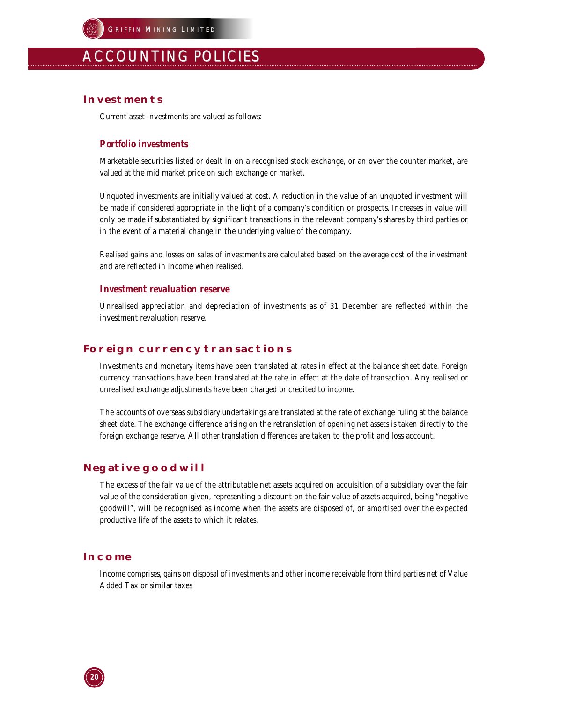## ACCOUNTING POLICIES

#### **Investments**

Current asset investments are valued as follows:

#### *Portfolio investments*

Marketable securities listed or dealt in on a recognised stock exchange, or an over the counter market, are valued at the mid market price on such exchange or market.

Unquoted investments are initially valued at cost. A reduction in the value of an unquoted investment will be made if considered appropriate in the light of a company's condition or prospects. Increases in value will only be made if substantiated by significant transactions in the relevant company's shares by third parties or in the event of a material change in the underlying value of the company.

Realised gains and losses on sales of investments are calculated based on the average cost of the investment and are reflected in income when realised.

#### *Investment revaluation reserve*

Unrealised appreciation and depreciation of investments as of 31 December are reflected within the investment revaluation reserve.

#### **Foreign currency transactions**

Investments and monetary items have been translated at rates in effect at the balance sheet date. Foreign currency transactions have been translated at the rate in effect at the date of transaction. Any realised or unrealised exchange adjustments have been charged or credited to income.

The accounts of overseas subsidiary undertakings are translated at the rate of exchange ruling at the balance sheet date. The exchange difference arising on the retranslation of opening net assets is taken directly to the foreign exchange reserve. All other translation differences are taken to the profit and loss account.

#### **Negative goodwill**

The excess of the fair value of the attributable net assets acquired on acquisition of a subsidiary over the fair value of the consideration given, representing a discount on the fair value of assets acquired, being "negative goodwill", will be recognised as income when the assets are disposed of, or amortised over the expected productive life of the assets to which it relates.

#### **Income**

**20**

Income comprises, gains on disposal of investments and other income receivable from third parties net of Value Added Tax or similar taxes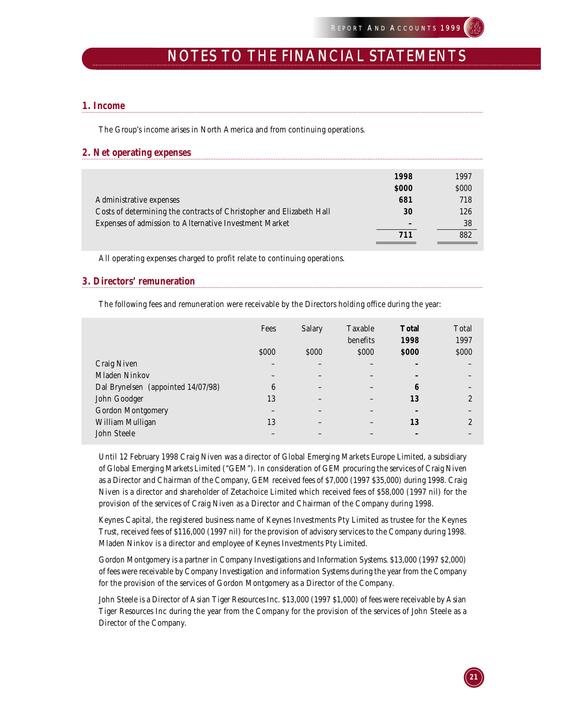#### **1. Income**

The Group's income arises in North America and from continuing operations.

#### **2. Net operating expenses**

|                                                                      | 1998        | 1997  |
|----------------------------------------------------------------------|-------------|-------|
|                                                                      | <b>SOOO</b> | \$000 |
| Administrative expenses                                              | 681         | 718   |
| Costs of determining the contracts of Christopher and Elizabeth Hall | 30          | 126   |
| Expenses of admission to Alternative Investment Market               |             | 38    |
|                                                                      | 711         | 882   |
|                                                                      |             |       |

All operating expenses charged to profit relate to continuing operations.

#### **3. Directors' remuneration**

The following fees and remuneration were receivable by the Directors holding office during the year:

|                                    | Fees  | <b>Salary</b> | Taxable<br>benefits | <b>Total</b><br>1998 | Total<br>1997          |
|------------------------------------|-------|---------------|---------------------|----------------------|------------------------|
|                                    | \$000 | \$000         | \$000               | \$000                | \$000                  |
| <b>Craig Niven</b>                 |       |               |                     |                      |                        |
| <b>Mladen Ninkov</b>               |       |               |                     |                      | $\qquad \qquad \qquad$ |
| Dal Brynelsen (appointed 14/07/98) | 6     |               |                     | 6                    |                        |
| John Goodger                       | 13    |               |                     | 13                   | $\overline{2}$         |
| <b>Gordon Montgomery</b>           |       |               |                     |                      |                        |
| William Mulligan                   | 13    |               |                     | 13                   | $\overline{2}$         |
| John Steele                        |       |               |                     |                      |                        |

Until 12 February 1998 Craig Niven was a director of Global Emerging Markets Europe Limited, a subsidiary of Global Emerging Markets Limited ("GEM"). In consideration of GEM procuring the services of Craig Niven as a Director and Chairman of the Company, GEM received fees of \$7,000 (1997 \$35,000) during 1998. Craig Niven is a director and shareholder of Zetachoice Limited which received fees of \$58,000 (1997 nil) for the provision of the services of Craig Niven as a Director and Chairman of the Company during 1998.

Keynes Capital, the registered business name of Keynes Investments Pty Limited as trustee for the Keynes Trust, received fees of \$116,000 (1997 nil) for the provision of advisory services to the Company during 1998. Mladen Ninkov is a director and employee of Keynes Investments Pty Limited.

Gordon Montgomery is a partner in Company Investigations and Information Systems. \$13,000 (1997 \$2,000) of fees were receivable by Company Investigation and information Systems during the year from the Company for the provision of the services of Gordon Montgomery as a Director of the Company.

John Steele is a Director of Asian Tiger Resources Inc. \$13,000 (1997 \$1,000) of fees were receivable by Asian Tiger Resources Inc during the year from the Company for the provision of the services of John Steele as a Director of the Company.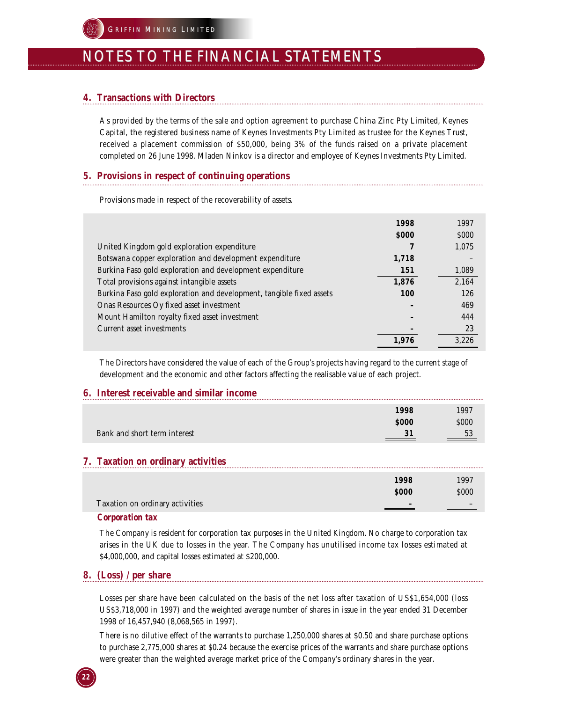#### **4. Transactions with Directors**

As provided by the terms of the sale and option agreement to purchase China Zinc Pty Limited, Keynes Capital, the registered business name of Keynes Investments Pty Limited as trustee for the Keynes Trust, received a placement commission of \$50,000, being 3% of the funds raised on a private placement completed on 26 June 1998. Mladen Ninkov is a director and employee of Keynes Investments Pty Limited.

#### **5. Provisions in respect of continuing operations**

Provisions made in respect of the recoverability of assets.

|                                                                      | 1998        | 1997        |
|----------------------------------------------------------------------|-------------|-------------|
|                                                                      | <b>S000</b> | <b>SOOO</b> |
| United Kingdom gold exploration expenditure                          |             | 1,075       |
| Botswana copper exploration and development expenditure              | 1,718       |             |
| Burkina Faso gold exploration and development expenditure            | 151         | 1,089       |
| Total provisions against intangible assets                           | 1,876       | 2,164       |
| Burkina Faso gold exploration and development, tangible fixed assets | 100         | 126         |
| Onas Resources Oy fixed asset investment                             |             | 469         |
| Mount Hamilton royalty fixed asset investment                        |             | 444         |
| Current asset investments                                            |             | 23          |
|                                                                      | 1.976       | 3.226       |

The Directors have considered the value of each of the Group's projects having regard to the current stage of development and the economic and other factors affecting the realisable value of each project.

#### **6. Interest receivable and similar income**

|                              | 1998<br>\$000 | 1997<br>\$000                                                                                                                                                                                                                                                                                                                         |
|------------------------------|---------------|---------------------------------------------------------------------------------------------------------------------------------------------------------------------------------------------------------------------------------------------------------------------------------------------------------------------------------------|
| Bank and short term interest | $\mathbf{R}$  | 53<br>$\hspace{.1in}$ $\hspace{.1in}$ $\hspace{.1in}$ $\hspace{.1in}$ $\hspace{.1in}$ $\hspace{.1in}$ $\hspace{.1in}$ $\hspace{.1in}$ $\hspace{.1in}$ $\hspace{.1in}$ $\hspace{.1in}$ $\hspace{.1in}$ $\hspace{.1in}$ $\hspace{.1in}$ $\hspace{.1in}$ $\hspace{.1in}$ $\hspace{.1in}$ $\hspace{.1in}$ $\hspace{.1in}$ $\hspace{.1in}$ |
|                              |               |                                                                                                                                                                                                                                                                                                                                       |

#### **7. Taxation on ordinary activities**

|                                 | 1998<br><b>\$000</b> | 1997<br>\$000 |
|---------------------------------|----------------------|---------------|
| Taxation on ordinary activities | -                    |               |

#### *Corporation tax*

The Company is resident for corporation tax purposes in the United Kingdom. No charge to corporation tax arises in the UK due to losses in the year. The Company has unutilised income tax losses estimated at \$4,000,000, and capital losses estimated at \$200,000.

#### **8. (Loss) / per share**

Losses per share have been calculated on the basis of the net loss after taxation of US\$1,654,000 (loss US\$3,718,000 in 1997) and the weighted average number of shares in issue in the year ended 31 December 1998 of 16,457,940 (8,068,565 in 1997).

There is no dilutive effect of the warrants to purchase 1,250,000 shares at \$0.50 and share purchase options to purchase 2,775,000 shares at \$0.24 because the exercise prices of the warrants and share purchase options were greater than the weighted average market price of the Company's ordinary shares in the year.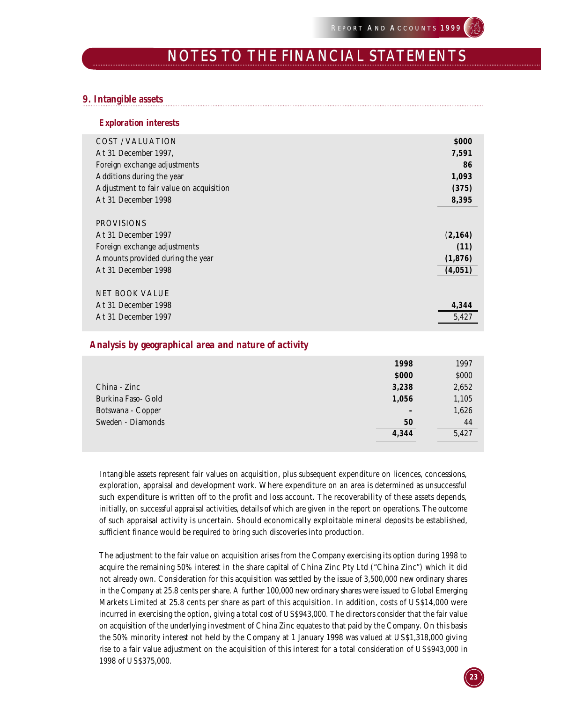#### **9. Intangible assets**

#### *Exploration interests*

| COST / VALUATION                        | <b>SOOO</b> |
|-----------------------------------------|-------------|
| At 31 December 1997,                    | 7,591       |
| Foreign exchange adjustments            | 86          |
| Additions during the year               | 1,093       |
| Adjustment to fair value on acquisition | (375)       |
| At 31 December 1998                     | 8,395       |
|                                         |             |
| <b>PROVISIONS</b>                       |             |
| At 31 December 1997                     | (2,164)     |
| Foreign exchange adjustments            | (11)        |
| Amounts provided during the year        | (1,876)     |
| At 31 December 1998                     | (4,051)     |
|                                         |             |
| <b>NET BOOK VALUE</b>                   |             |
| At 31 December 1998                     | 4,344       |
| At 31 December 1997                     | 5.427       |
|                                         |             |

#### *Analysis by geographical area and nature of activity*

|                    | 1998  | 1997  |
|--------------------|-------|-------|
|                    | \$000 | \$000 |
| China - Zinc       | 3,238 | 2,652 |
| Burkina Faso- Gold | 1,056 | 1,105 |
| Botswana - Copper  |       | 1,626 |
| Sweden - Diamonds  | 50    | 44    |
|                    | 4,344 | 5,427 |

Intangible assets represent fair values on acquisition, plus subsequent expenditure on licences, concessions, exploration, appraisal and development work. Where expenditure on an area is determined as unsuccessful such expenditure is written off to the profit and loss account. The recoverability of these assets depends, initially, on successful appraisal activities, details of which are given in the report on operations. The outcome of such appraisal activity is uncertain. Should economically exploitable mineral deposits be established, sufficient finance would be required to bring such discoveries into production.

The adjustment to the fair value on acquisition arises from the Company exercising its option during 1998 to acquire the remaining 50% interest in the share capital of China Zinc Pty Ltd ("China Zinc") which it did not already own. Consideration for this acquisition was settled by the issue of 3,500,000 new ordinary shares in the Company at 25.8 cents per share. A further 100,000 new ordinary shares were issued to Global Emerging Markets Limited at 25.8 cents per share as part of this acquisition. In addition, costs of US\$14,000 were incurred in exercising the option, giving a total cost of US\$943,000. The directors consider that the fair value on acquisition of the underlying investment of China Zinc equates to that paid by the Company. On this basis the 50% minority interest not held by the Company at 1 January 1998 was valued at US\$1,318,000 giving rise to a fair value adjustment on the acquisition of this interest for a total consideration of US\$943,000 in 1998 of US\$375,000.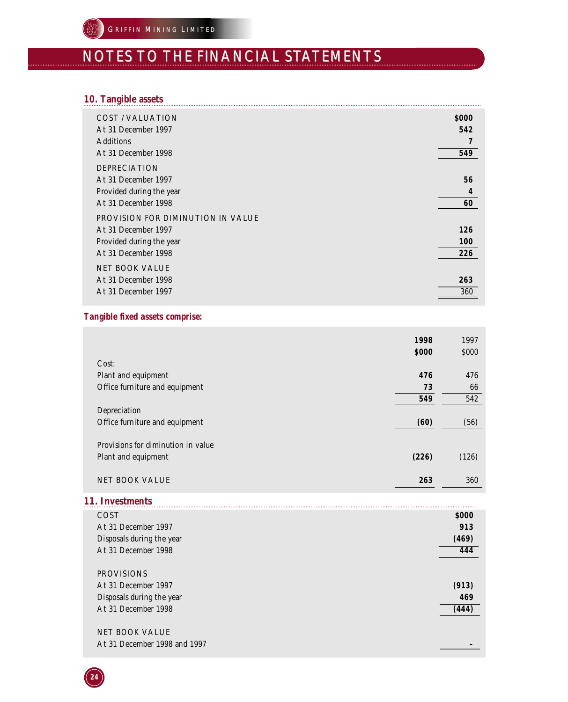### **10. Tangible assets**

| <b>COST / VALUATION</b>           | <b>S000</b> |
|-----------------------------------|-------------|
| At 31 December 1997               | 542         |
| <b>Additions</b>                  | 7           |
| At 31 December 1998               | 549         |
| <b>DEPRECIATION</b>               |             |
| At 31 December 1997               | 56          |
| Provided during the year          | 4           |
| At 31 December 1998               | 60          |
| PROVISION FOR DIMINUTION IN VALUE |             |
| At 31 December 1997               | 126         |
| Provided during the year          | 100         |
| At 31 December 1998               | 226         |
| <b>NET BOOK VALUE</b>             |             |
| At 31 December 1998               | 263         |
| At 31 December 1997               | 360         |

### *Tangible fixed assets comprise:*

|                                                           | 1998<br>\$000 | 1997<br>\$000 |
|-----------------------------------------------------------|---------------|---------------|
| Cost:                                                     |               |               |
| Plant and equipment                                       | 476           | 476           |
| Office furniture and equipment                            | 73            | 66            |
|                                                           | 549           | 542           |
| Depreciation                                              |               |               |
| Office furniture and equipment                            | (60)          | (56)          |
| Provisions for diminution in value<br>Plant and equipment | (226)         | (126)         |
|                                                           |               |               |
| <b>NET BOOK VALUE</b>                                     | 263           | 360           |

### **11. Investments**

| <b>COST</b>                  | \$000 |
|------------------------------|-------|
| At 31 December 1997          | 913   |
| Disposals during the year    | (469) |
| At 31 December 1998          | 444   |
|                              |       |
| <b>PROVISIONS</b>            |       |
| At 31 December 1997          | (913) |
| Disposals during the year    | 469   |
| At 31 December 1998          | (444) |
|                              |       |
| <b>NET BOOK VALUE</b>        |       |
| At 31 December 1998 and 1997 |       |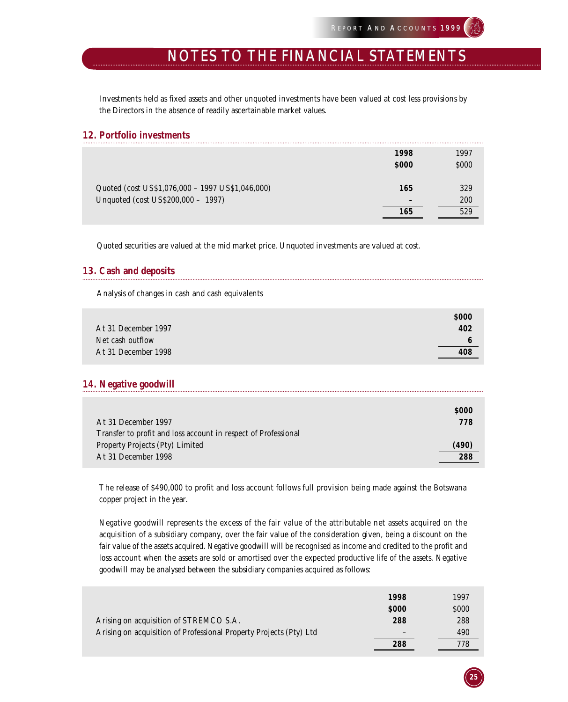Investments held as fixed assets and other unquoted investments have been valued at cost less provisions by the Directors in the absence of readily ascertainable market values.

#### **12. Portfolio investments**

|                                                  | 1998         | 1997  |
|--------------------------------------------------|--------------|-------|
|                                                  | <b>\$000</b> | \$000 |
|                                                  |              |       |
| Quoted (cost US\$1,076,000 - 1997 US\$1,046,000) | 165          | 329   |
| Unquoted (cost US\$200,000 - 1997)               |              | 200   |
|                                                  | 165          | 529   |
|                                                  |              |       |

Quoted securities are valued at the mid market price. Unquoted investments are valued at cost.

#### **13. Cash and deposits**

Analysis of changes in cash and cash equivalents

|                     | <b>SOOO</b> |
|---------------------|-------------|
| At 31 December 1997 | 402         |
| Net cash outflow    |             |
| At 31 December 1998 | 408         |

#### **14. Negative goodwill**

|                                                                | <b>S000</b> |
|----------------------------------------------------------------|-------------|
| At 31 December 1997                                            | 778         |
| Transfer to profit and loss account in respect of Professional |             |
| Property Projects (Pty) Limited                                | (490)       |
| At 31 December 1998                                            | 288         |

The release of \$490,000 to profit and loss account follows full provision being made against the Botswana copper project in the year.

Negative goodwill represents the excess of the fair value of the attributable net assets acquired on the acquisition of a subsidiary company, over the fair value of the consideration given, being a discount on the fair value of the assets acquired. Negative goodwill will be recognised as income and credited to the profit and loss account when the assets are sold or amortised over the expected productive life of the assets. Negative goodwill may be analysed between the subsidiary companies acquired as follows:

|                                                                    | 1998                     | 1997  |
|--------------------------------------------------------------------|--------------------------|-------|
|                                                                    | <b>SOOO</b>              | \$000 |
| Arising on acquisition of STREMCO S.A.                             | 288                      | 288   |
| Arising on acquisition of Professional Property Projects (Pty) Ltd | $\overline{\phantom{a}}$ | 490   |
|                                                                    | 288                      | 778   |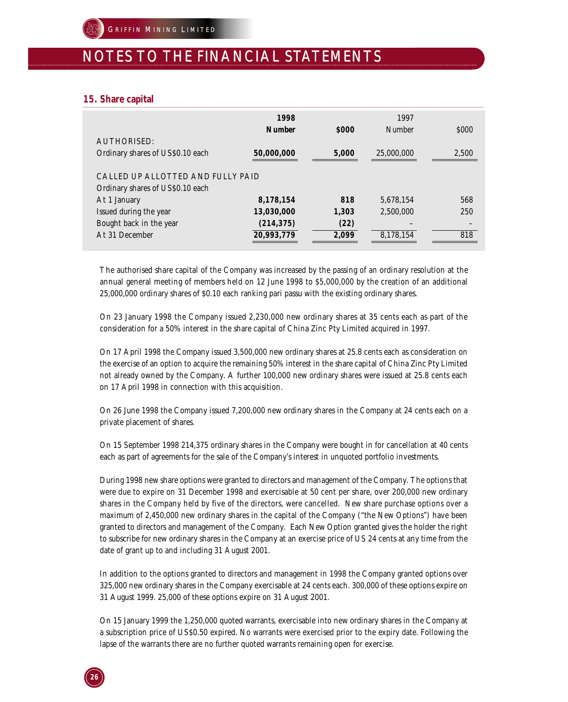#### **15. Share capital**

|                                   | 1998          |             | 1997       |             |
|-----------------------------------|---------------|-------------|------------|-------------|
|                                   | <b>Number</b> | <b>SOOO</b> | Number     | <b>S000</b> |
| <b>AUTHORISED:</b>                |               |             |            |             |
| Ordinary shares of US\$0.10 each  | 50,000,000    | 5,000       | 25,000,000 | 2,500       |
|                                   |               |             |            |             |
| CALLED UP ALLOTTED AND FULLY PAID |               |             |            |             |
| Ordinary shares of US\$0.10 each  |               |             |            |             |
| At 1 January                      | 8,178,154     | 818         | 5,678,154  | 568         |
| Issued during the year            | 13,030,000    | 1,303       | 2,500,000  | 250         |
| Bought back in the year           | (214, 375)    | (22)        |            |             |
| At 31 December                    | 20,993,779    | 2,099       | 8,178,154  | 818         |

The authorised share capital of the Company was increased by the passing of an ordinary resolution at the annual general meeting of members held on 12 June 1998 to \$5,000,000 by the creation of an additional 25,000,000 ordinary shares of \$0.10 each ranking pari passu with the existing ordinary shares.

On 23 January 1998 the Company issued 2,230,000 new ordinary shares at 35 cents each as part of the consideration for a 50% interest in the share capital of China Zinc Pty Limited acquired in 1997.

On 17 April 1998 the Company issued 3,500,000 new ordinary shares at 25.8 cents each as consideration on the exercise of an option to acquire the remaining 50% interest in the share capital of China Zinc Pty Limited not already owned by the Company. A further 100,000 new ordinary shares were issued at 25.8 cents each on 17 April 1998 in connection with this acquisition.

On 26 June 1998 the Company issued 7,200,000 new ordinary shares in the Company at 24 cents each on a private placement of shares.

On 15 September 1998 214,375 ordinary shares in the Company were bought in for cancellation at 40 cents each as part of agreements for the sale of the Company's interest in unquoted portfolio investments.

During 1998 new share options were granted to directors and management of the Company. The options that were due to expire on 31 December 1998 and exercisable at 50 cent per share, over 200,000 new ordinary shares in the Company held by five of the directors, were cancelled. New share purchase options over a maximum of 2,450,000 new ordinary shares in the capital of the Company ("the New Options") have been granted to directors and management of the Company. Each New Option granted gives the holder the right to subscribe for new ordinary shares in the Company at an exercise price of US 24 cents at any time from the date of grant up to and including 31 August 2001.

In addition to the options granted to directors and management in 1998 the Company granted options over 325,000 new ordinary shares in the Company exercisable at 24 cents each. 300,000 of these options expire on 31 August 1999. 25,000 of these options expire on 31 August 2001.

On 15 January 1999 the 1,250,000 quoted warrants, exercisable into new ordinary shares in the Company at a subscription price of US\$0.50 expired. No warrants were exercised prior to the expiry date. Following the lapse of the warrants there are no further quoted warrants remaining open for exercise.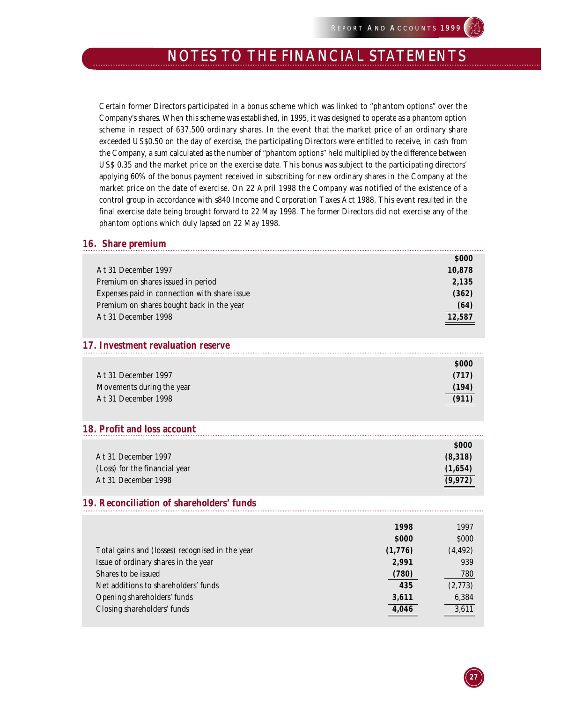Certain former Directors participated in a bonus scheme which was linked to "phantom options" over the Company's shares. When this scheme was established, in 1995, it was designed to operate as a phantom option scheme in respect of 637,500 ordinary shares. In the event that the market price of an ordinary share exceeded US\$0.50 on the day of exercise, the participating Directors were entitled to receive, in cash from the Company, a sum calculated as the number of "phantom options" held multiplied by the difference between US\$ 0.35 and the market price on the exercise date. This bonus was subject to the participating directors' applying 60% of the bonus payment received in subscribing for new ordinary shares in the Company at the market price on the date of exercise. On 22 April 1998 the Company was notified of the existence of a control group in accordance with s840 Income and Corporation Taxes Act 1988. This event resulted in the final exercise date being brought forward to 22 May 1998. The former Directors did not exercise any of the phantom options which duly lapsed on 22 May 1998.

### **16. Share premium**

|                                                 |             | \$000       |
|-------------------------------------------------|-------------|-------------|
| At 31 December 1997                             |             | 10,878      |
| Premium on shares issued in period              |             | 2,135       |
| Expenses paid in connection with share issue    |             | (362)       |
| Premium on shares bought back in the year       |             | (64)        |
| At 31 December 1998                             |             | 12,587      |
|                                                 |             |             |
| 17. Investment revaluation reserve              |             |             |
|                                                 |             | <b>SOOO</b> |
| At 31 December 1997                             |             | (717)       |
| Movements during the year                       |             | (194)       |
| At 31 December 1998                             |             | (911)       |
|                                                 |             |             |
| 18. Profit and loss account                     |             |             |
|                                                 |             | \$000       |
| At 31 December 1997                             |             | (8,318)     |
| (Loss) for the financial year                   |             | (1,654)     |
| At 31 December 1998                             |             | (9,972)     |
|                                                 |             |             |
| 19. Reconciliation of shareholders' funds       |             |             |
|                                                 | 1998        | 1997        |
|                                                 | <b>SOO0</b> | \$000       |
| Total gains and (losses) recognised in the year | (1,776)     | (4, 492)    |
| Issue of ordinary shares in the year            | 2,991       | 939         |
| Shares to be issued                             | (780)       | 780         |
| Net additions to shareholders' funds            | 435         | (2,773)     |
| Opening shareholders' funds                     | 3,611       | 6,384       |
| Closing shareholders' funds                     | 4,046       | 3,611       |
|                                                 |             |             |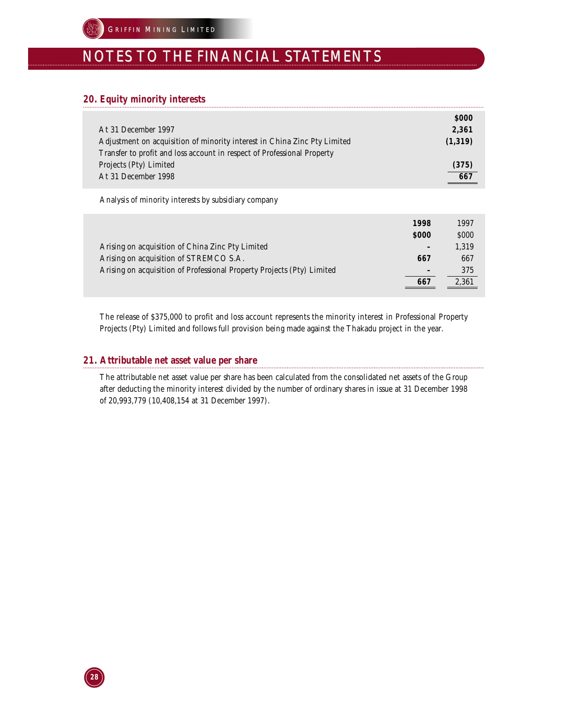#### **20. Equity minority interests**

|                                                                          | <b>SOOO</b> |
|--------------------------------------------------------------------------|-------------|
| At 31 December 1997                                                      | 2,361       |
| Adjustment on acquisition of minority interest in China Zinc Pty Limited | (1,319)     |
| Transfer to profit and loss account in respect of Professional Property  |             |
| Projects (Pty) Limited                                                   | (375)       |
| At 31 December 1998                                                      | 667         |

Analysis of minority interests by subsidiary company

|                                                                        | 1998        | 1997  |
|------------------------------------------------------------------------|-------------|-------|
|                                                                        | <b>SOOO</b> | \$000 |
| Arising on acquisition of China Zinc Pty Limited                       |             | 1,319 |
| Arising on acquisition of STREMCO S.A.                                 | 667         | 667   |
| Arising on acquisition of Professional Property Projects (Pty) Limited |             | 375   |
|                                                                        | 667         | 2,361 |

The release of \$375,000 to profit and loss account represents the minority interest in Professional Property Projects (Pty) Limited and follows full provision being made against the Thakadu project in the year.

#### **21. Attributable net asset value per share**

The attributable net asset value per share has been calculated from the consolidated net assets of the Group after deducting the minority interest divided by the number of ordinary shares in issue at 31 December 1998 of 20,993,779 (10,408,154 at 31 December 1997).

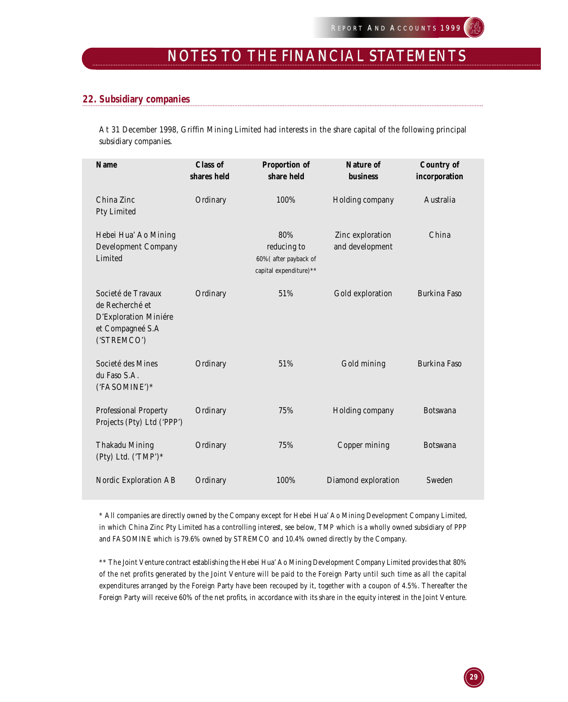### **22. Subsidiary companies**

At 31 December 1998, Griffin Mining Limited had interests in the share capital of the following principal subsidiary companies.

| <b>Name</b>                                                                                       | <b>Class of</b><br>shares held | <b>Proportion of</b><br>share held                                    | Nature of<br>business               | <b>Country of</b><br>incorporation |
|---------------------------------------------------------------------------------------------------|--------------------------------|-----------------------------------------------------------------------|-------------------------------------|------------------------------------|
| China Zinc<br>Pty Limited                                                                         | Ordinary                       | 100%                                                                  | Holding company                     | Australia                          |
| Hebei Hua' Ao Mining<br><b>Development Company</b><br>Limited                                     |                                | 80%<br>reducing to<br>60% (after payback of<br>capital expenditure)** | Zinc exploration<br>and development | China                              |
| Societé de Travaux<br>de Recherché et<br>D'Exploration Miniére<br>et Compagneé S.A<br>('STREMCO') | Ordinary                       | 51%                                                                   | Gold exploration                    | <b>Burkina Faso</b>                |
| Societé des Mines<br>du Faso S.A.<br>('FASOMINE')*                                                | Ordinary                       | 51%                                                                   | Gold mining                         | <b>Burkina Faso</b>                |
| <b>Professional Property</b><br>Projects (Pty) Ltd ('PPP')                                        | Ordinary                       | 75%                                                                   | Holding company                     | <b>Botswana</b>                    |
| <b>Thakadu Mining</b><br>(Pty) Ltd. $(TMP)*$                                                      | Ordinary                       | 75%                                                                   | Copper mining                       | <b>Botswana</b>                    |
| Nordic Exploration AB                                                                             | Ordinary                       | 100%                                                                  | Diamond exploration                 | Sweden                             |

\* All companies are directly owned by the Company except for Hebei Hua' Ao Mining Development Company Limited, in which China Zinc Pty Limited has a controlling interest, see below, TMP which is a wholly owned subsidiary of PPP and FASOMINE which is 79.6% owned by STREMCO and 10.4% owned directly by the Company.

\*\* The Joint Venture contract establishing the Hebei Hua' Ao Mining Development Company Limited provides that 80% of the net profits generated by the Joint Venture will be paid to the Foreign Party until such time as all the capital expenditures arranged by the Foreign Party have been recouped by it, together with a coupon of 4.5%. Thereafter the Foreign Party will receive 60% of the net profits, in accordance with its share in the equity interest in the Joint Venture.